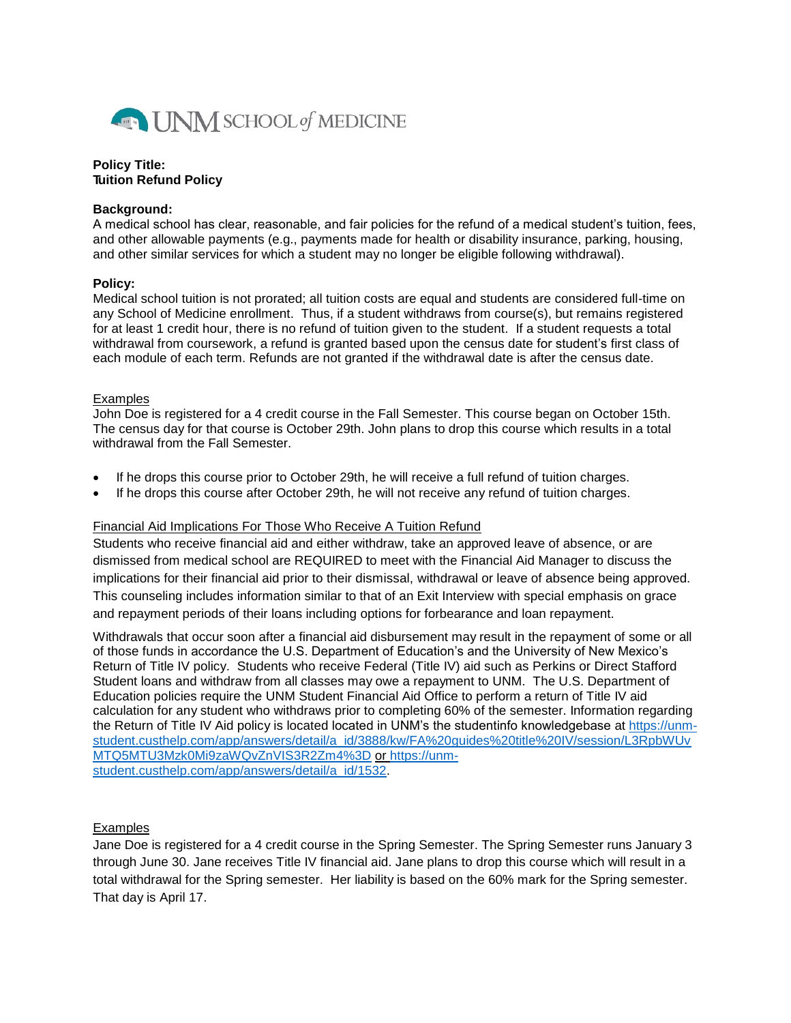

## **Policy Title: Tuition Refund Policy**

## **Background:**

A medical school has clear, reasonable, and fair policies for the refund of a medical student's tuition, fees, and other allowable payments (e.g., payments made for health or disability insurance, parking, housing, and other similar services for which a student may no longer be eligible following withdrawal).

## **Policy:**

Medical school tuition is not prorated; all tuition costs are equal and students are considered full-time on any School of Medicine enrollment. Thus, if a student withdraws from course(s), but remains registered for at least 1 credit hour, there is no refund of tuition given to the student. If a student requests a total withdrawal from coursework, a refund is granted based upon the census date for student's first class of each module of each term. Refunds are not granted if the withdrawal date is after the census date.

## Examples

John Doe is registered for a 4 credit course in the Fall Semester. This course began on October 15th. The census day for that course is October 29th. John plans to drop this course which results in a total withdrawal from the Fall Semester.

- If he drops this course prior to October 29th, he will receive a full refund of tuition charges.
- If he drops this course after October 29th, he will not receive any refund of tuition charges.

# Financial Aid Implications For Those Who Receive A Tuition Refund

Students who receive financial aid and either withdraw, take an approved leave of absence, or are dismissed from medical school are REQUIRED to meet with the Financial Aid Manager to discuss the implications for their financial aid prior to their dismissal, withdrawal or leave of absence being approved. This counseling includes information similar to that of an Exit Interview with special emphasis on grace and repayment periods of their loans including options for forbearance and loan repayment.

Withdrawals that occur soon after a financial aid disbursement may result in the repayment of some or all of those funds in accordance the U.S. Department of Education's and the University of New Mexico's Return of Title IV policy. Students who receive Federal (Title IV) aid such as Perkins or Direct Stafford Student loans and withdraw from all classes may owe a repayment to UNM. The U.S. Department of Education policies require the UNM Student Financial Aid Office to perform a return of Title IV aid calculation for any student who withdraws prior to completing 60% of the semester. Information regarding the Return of Title IV Aid policy is located located in UNM's the studentinfo knowledgebase at [https://unm](https://unm-student.custhelp.com/app/answers/detail/a_id/3888/kw/FA%20guides%20title%20IV/session/L3RpbWUvMTQ5MTU3Mzk0Mi9zaWQvZnVIS3R2Zm4%3D)[student.custhelp.com/app/answers/detail/a\\_id/3888/kw/FA%20guides%20title%20IV/session/L3RpbWUv](https://unm-student.custhelp.com/app/answers/detail/a_id/3888/kw/FA%20guides%20title%20IV/session/L3RpbWUvMTQ5MTU3Mzk0Mi9zaWQvZnVIS3R2Zm4%3D) [MTQ5MTU3Mzk0Mi9zaWQvZnVIS3R2Zm4%3D](https://unm-student.custhelp.com/app/answers/detail/a_id/3888/kw/FA%20guides%20title%20IV/session/L3RpbWUvMTQ5MTU3Mzk0Mi9zaWQvZnVIS3R2Zm4%3D) or [https://unm](https://unm-student.custhelp.com/app/answers/detail/a_id/1532)[student.custhelp.com/app/answers/detail/a\\_id/1532.](https://unm-student.custhelp.com/app/answers/detail/a_id/1532)

# **Examples**

Jane Doe is registered for a 4 credit course in the Spring Semester. The Spring Semester runs January 3 through June 30. Jane receives Title IV financial aid. Jane plans to drop this course which will result in a total withdrawal for the Spring semester. Her liability is based on the 60% mark for the Spring semester. That day is April 17.